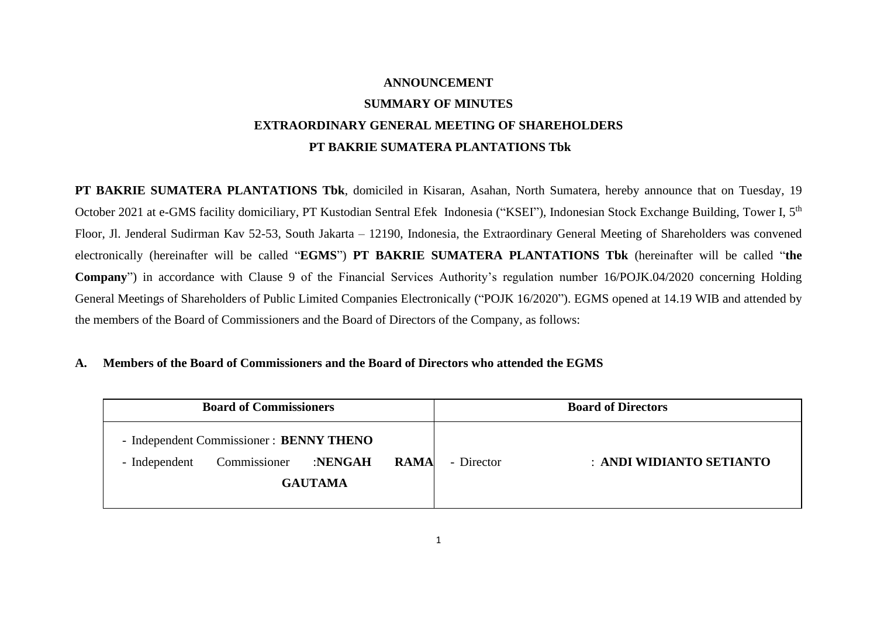# **ANNOUNCEMENT SUMMARY OF MINUTES EXTRAORDINARY GENERAL MEETING OF SHAREHOLDERS PT BAKRIE SUMATERA PLANTATIONS Tbk**

**PT BAKRIE SUMATERA PLANTATIONS Tbk**, domiciled in Kisaran, Asahan, North Sumatera, hereby announce that on Tuesday, 19 October 2021 at e-GMS facility domiciliary, PT Kustodian Sentral Efek Indonesia ("KSEI"), Indonesian Stock Exchange Building, Tower I, 5<sup>th</sup> Floor, Jl. Jenderal Sudirman Kav 52-53, South Jakarta – 12190, Indonesia, the Extraordinary General Meeting of Shareholders was convened electronically (hereinafter will be called "**EGMS**") **PT BAKRIE SUMATERA PLANTATIONS Tbk** (hereinafter will be called "**the Company**") in accordance with Clause 9 of the Financial Services Authority's regulation number 16/POJK.04/2020 concerning Holding General Meetings of Shareholders of Public Limited Companies Electronically ("POJK 16/2020"). EGMS opened at 14.19 WIB and attended by the members of the Board of Commissioners and the Board of Directors of the Company, as follows:

## **A. Members of the Board of Commissioners and the Board of Directors who attended the EGMS**

| <b>Board of Commissioners</b> |                                                                                                     |  |  | <b>Board of Directors</b> |                          |  |
|-------------------------------|-----------------------------------------------------------------------------------------------------|--|--|---------------------------|--------------------------|--|
| - Independent                 | - Independent Commissioner: BENNY THENO<br><b>RAMA</b><br>Commissioner<br>:NENGAH<br><b>GAUTAMA</b> |  |  | - Director                | : ANDI WIDIANTO SETIANTO |  |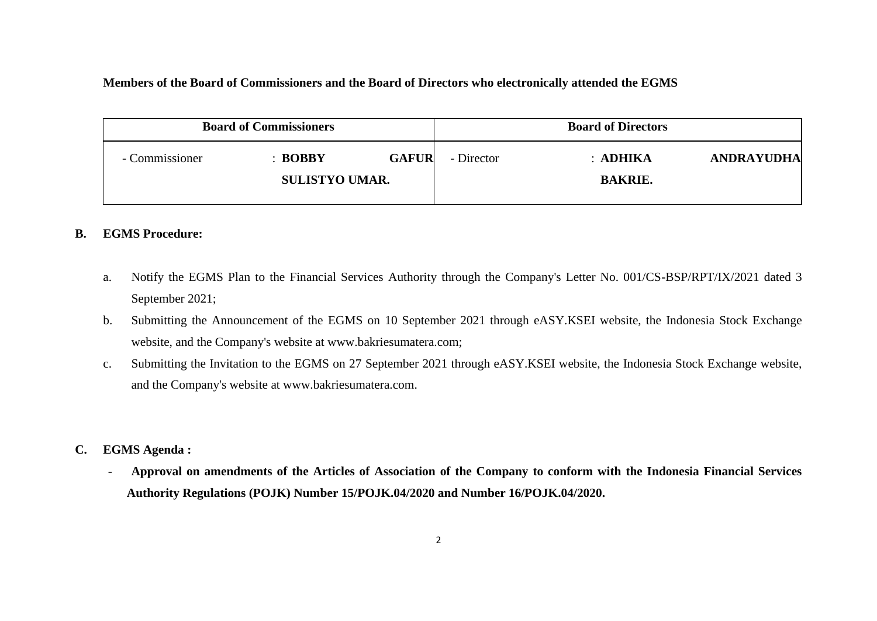## **Members of the Board of Commissioners and the Board of Directors who electronically attended the EGMS**

|                | <b>Board of Commissioners</b>               |              | <b>Board of Directors</b> |                              |                   |
|----------------|---------------------------------------------|--------------|---------------------------|------------------------------|-------------------|
| - Commissioner | $\therefore$ BOBBY<br><b>SULISTYO UMAR.</b> | <b>GAFUR</b> | - Director                | $:$ ADHIKA<br><b>BAKRIE.</b> | <b>ANDRAYUDHA</b> |

## **B. EGMS Procedure:**

- a. Notify the EGMS Plan to the Financial Services Authority through the Company's Letter No. 001/CS-BSP/RPT/IX/2021 dated 3 September 2021;
- b. Submitting the Announcement of the EGMS on 10 September 2021 through eASY.KSEI website, the Indonesia Stock Exchange website, and the Company's website at www.bakriesumatera.com;
- c. Submitting the Invitation to the EGMS on 27 September 2021 through eASY.KSEI website, the Indonesia Stock Exchange website, and the Company's website at www.bakriesumatera.com.
- **C. EGMS Agenda :**
	- **Approval on amendments of the Articles of Association of the Company to conform with the Indonesia Financial Services Authority Regulations (POJK) Number 15/POJK.04/2020 and Number 16/POJK.04/2020.**